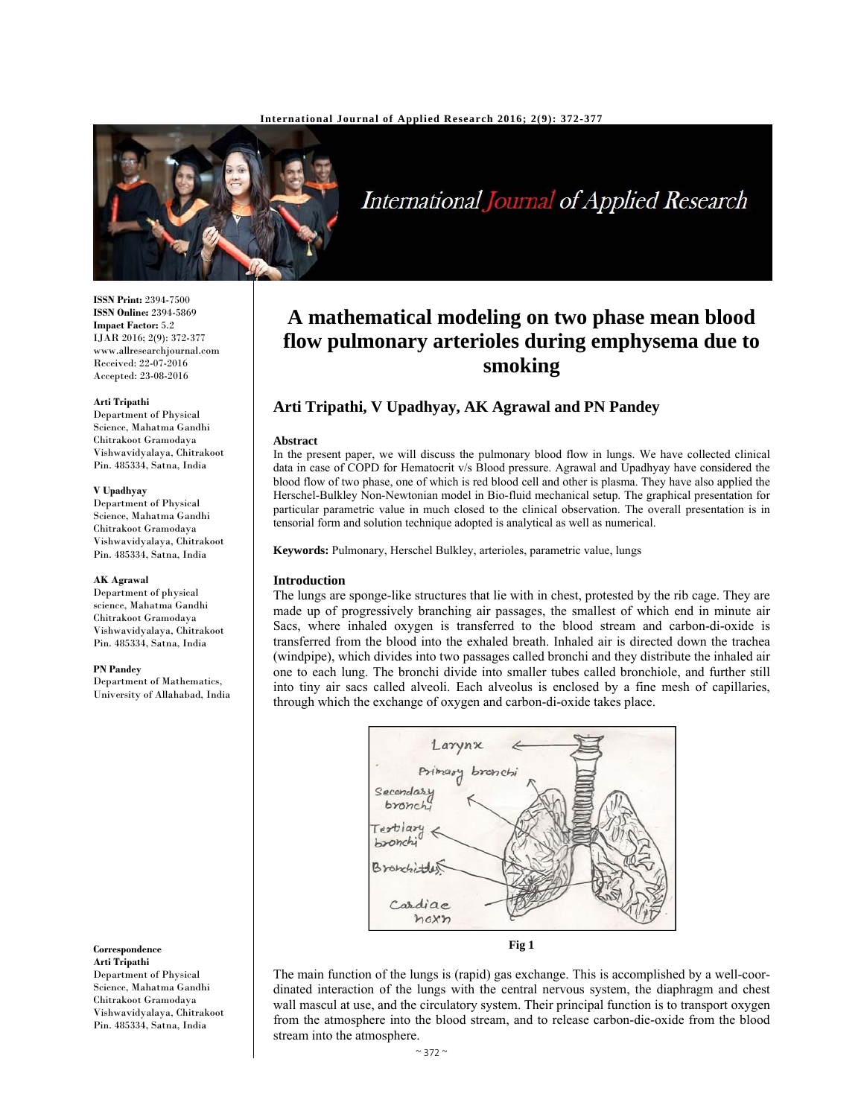

International Journal of Applied Research

#### **ISSN Print:** 2394-7500 **ISSN Online:** 2394-5869 **Impact Factor:** 5.2 IJAR 2016; 2(9): 372-377 www.allresearchjournal.com Received: 22-07-2016 Accepted: 23-08-2016

#### **Arti Tripathi**

Department of Physical Science, Mahatma Gandhi Chitrakoot Gramodaya Vishwavidyalaya, Chitrakoot Pin. 485334, Satna, India

#### **V Upadhyay**

Department of Physical Science, Mahatma Gandhi Chitrakoot Gramodaya Vishwavidyalaya, Chitrakoot Pin. 485334, Satna, India

#### **AK Agrawal**

Department of physical science, Mahatma Gandhi Chitrakoot Gramodaya Vishwavidyalaya, Chitrakoot Pin. 485334, Satna, India

#### **PN Pandey**

Department of Mathematics, University of Allahabad, India

**Correspondence Arti Tripathi** 

Department of Physical Science, Mahatma Gandhi Chitrakoot Gramodaya Vishwavidyalaya, Chitrakoot Pin. 485334, Satna, India

# **A mathematical modeling on two phase mean blood flow pulmonary arterioles during emphysema due to smoking**

# **Arti Tripathi, V Upadhyay, AK Agrawal and PN Pandey**

#### **Abstract**

In the present paper, we will discuss the pulmonary blood flow in lungs. We have collected clinical data in case of COPD for Hematocrit v/s Blood pressure. Agrawal and Upadhyay have considered the blood flow of two phase, one of which is red blood cell and other is plasma. They have also applied the Herschel-Bulkley Non-Newtonian model in Bio-fluid mechanical setup. The graphical presentation for particular parametric value in much closed to the clinical observation. The overall presentation is in tensorial form and solution technique adopted is analytical as well as numerical.

**Keywords:** Pulmonary, Herschel Bulkley, arterioles, parametric value, lungs

# **Introduction**

The lungs are sponge-like structures that lie with in chest, protested by the rib cage. They are made up of progressively branching air passages, the smallest of which end in minute air Sacs, where inhaled oxygen is transferred to the blood stream and carbon-di-oxide is transferred from the blood into the exhaled breath. Inhaled air is directed down the trachea (windpipe), which divides into two passages called bronchi and they distribute the inhaled air one to each lung. The bronchi divide into smaller tubes called bronchiole, and further still into tiny air sacs called alveoli. Each alveolus is enclosed by a fine mesh of capillaries, through which the exchange of oxygen and carbon-di-oxide takes place.



**Fig 1** 

The main function of the lungs is (rapid) gas exchange. This is accomplished by a well-coordinated interaction of the lungs with the central nervous system, the diaphragm and chest wall mascul at use, and the circulatory system. Their principal function is to transport oxygen from the atmosphere into the blood stream, and to release carbon-die-oxide from the blood stream into the atmosphere.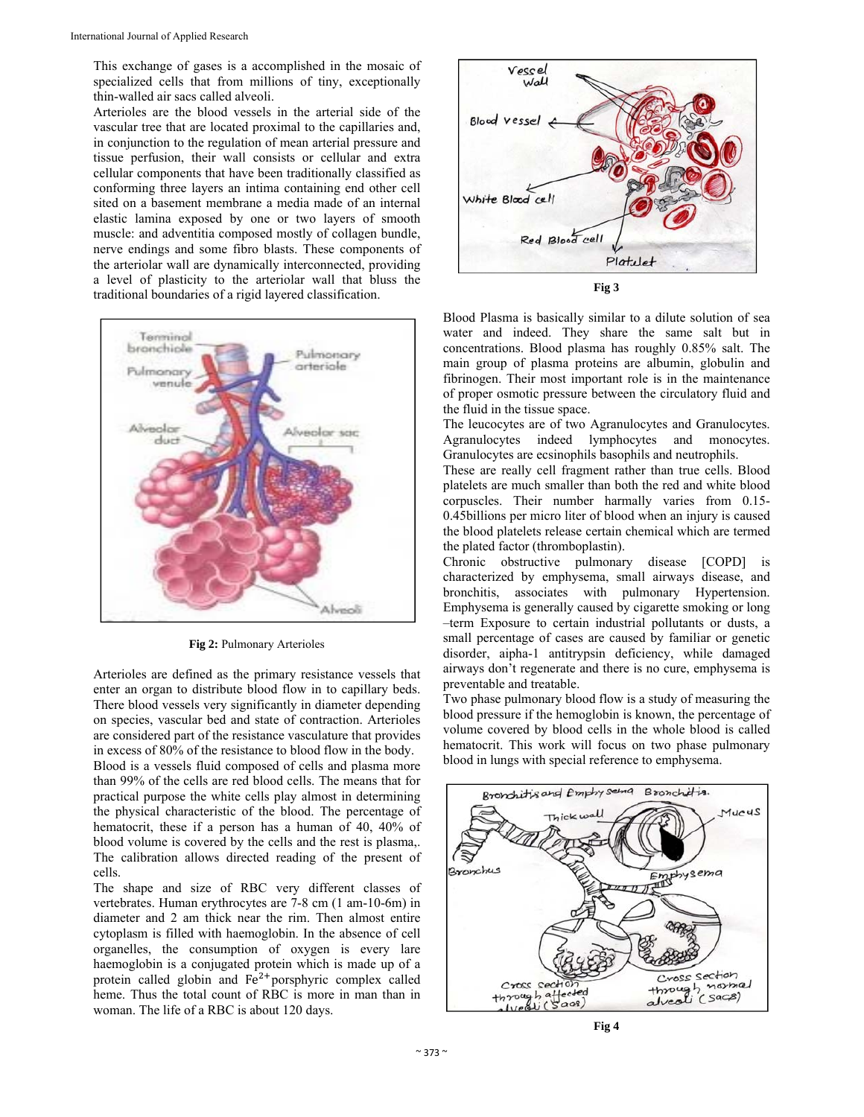This exchange of gases is a accomplished in the mosaic of specialized cells that from millions of tiny, exceptionally thin-walled air sacs called alveoli.

Arterioles are the blood vessels in the arterial side of the vascular tree that are located proximal to the capillaries and, in conjunction to the regulation of mean arterial pressure and tissue perfusion, their wall consists or cellular and extra cellular components that have been traditionally classified as conforming three layers an intima containing end other cell sited on a basement membrane a media made of an internal elastic lamina exposed by one or two layers of smooth muscle: and adventitia composed mostly of collagen bundle, nerve endings and some fibro blasts. These components of the arteriolar wall are dynamically interconnected, providing a level of plasticity to the arteriolar wall that bluss the traditional boundaries of a rigid layered classification.



**Fig 2:** Pulmonary Arterioles

Arterioles are defined as the primary resistance vessels that enter an organ to distribute blood flow in to capillary beds. There blood vessels very significantly in diameter depending on species, vascular bed and state of contraction. Arterioles are considered part of the resistance vasculature that provides in excess of 80% of the resistance to blood flow in the body.

Blood is a vessels fluid composed of cells and plasma more than 99% of the cells are red blood cells. The means that for practical purpose the white cells play almost in determining the physical characteristic of the blood. The percentage of hematocrit, these if a person has a human of 40, 40% of blood volume is covered by the cells and the rest is plasma,. The calibration allows directed reading of the present of cells.

The shape and size of RBC very different classes of vertebrates. Human erythrocytes are 7-8 cm (1 am-10-6m) in diameter and 2 am thick near the rim. Then almost entire cytoplasm is filled with haemoglobin. In the absence of cell organelles, the consumption of oxygen is every lare haemoglobin is a conjugated protein which is made up of a protein called globin and  $Fe<sup>2+</sup>$  porsphyric complex called heme. Thus the total count of RBC is more in man than in woman. The life of a RBC is about 120 days.



**Fig 3**

Blood Plasma is basically similar to a dilute solution of sea water and indeed. They share the same salt but in concentrations. Blood plasma has roughly 0.85% salt. The main group of plasma proteins are albumin, globulin and fibrinogen. Their most important role is in the maintenance of proper osmotic pressure between the circulatory fluid and the fluid in the tissue space.

The leucocytes are of two Agranulocytes and Granulocytes. Agranulocytes indeed lymphocytes and monocytes. Granulocytes are ecsinophils basophils and neutrophils.

These are really cell fragment rather than true cells. Blood platelets are much smaller than both the red and white blood corpuscles. Their number harmally varies from 0.15- 0.45billions per micro liter of blood when an injury is caused the blood platelets release certain chemical which are termed the plated factor (thromboplastin).

Chronic obstructive pulmonary disease [COPD] is characterized by emphysema, small airways disease, and bronchitis, associates with pulmonary Hypertension. Emphysema is generally caused by cigarette smoking or long –term Exposure to certain industrial pollutants or dusts, a small percentage of cases are caused by familiar or genetic disorder, aipha-1 antitrypsin deficiency, while damaged airways don't regenerate and there is no cure, emphysema is preventable and treatable.

Two phase pulmonary blood flow is a study of measuring the blood pressure if the hemoglobin is known, the percentage of volume covered by blood cells in the whole blood is called hematocrit. This work will focus on two phase pulmonary blood in lungs with special reference to emphysema.



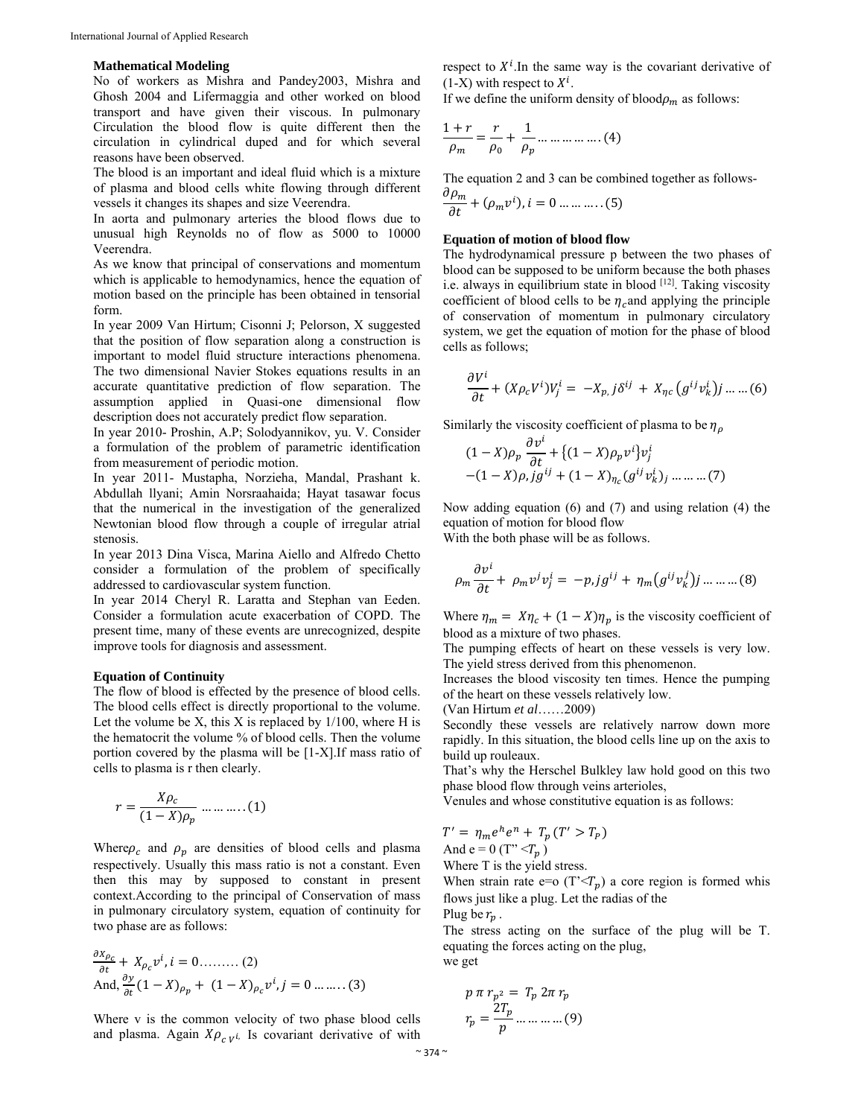### **Mathematical Modeling**

No of workers as Mishra and Pandey2003, Mishra and Ghosh 2004 and Lifermaggia and other worked on blood transport and have given their viscous. In pulmonary Circulation the blood flow is quite different then the circulation in cylindrical duped and for which several reasons have been observed.

The blood is an important and ideal fluid which is a mixture of plasma and blood cells white flowing through different vessels it changes its shapes and size Veerendra.

In aorta and pulmonary arteries the blood flows due to unusual high Reynolds no of flow as 5000 to 10000 Veerendra.

As we know that principal of conservations and momentum which is applicable to hemodynamics, hence the equation of motion based on the principle has been obtained in tensorial form.

In year 2009 Van Hirtum; Cisonni J; Pelorson, X suggested that the position of flow separation along a construction is important to model fluid structure interactions phenomena. The two dimensional Navier Stokes equations results in an accurate quantitative prediction of flow separation. The assumption applied in Quasi-one dimensional flow description does not accurately predict flow separation.

In year 2010- Proshin, A.P; Solodyannikov, yu. V. Consider a formulation of the problem of parametric identification from measurement of periodic motion.

In year 2011- Mustapha, Norzieha, Mandal, Prashant k. Abdullah llyani; Amin Norsraahaida; Hayat tasawar focus that the numerical in the investigation of the generalized Newtonian blood flow through a couple of irregular atrial stenosis.

In year 2013 Dina Visca, Marina Aiello and Alfredo Chetto consider a formulation of the problem of specifically addressed to cardiovascular system function.

In year 2014 Cheryl R. Laratta and Stephan van Eeden. Consider a formulation acute exacerbation of COPD. The present time, many of these events are unrecognized, despite improve tools for diagnosis and assessment.

### **Equation of Continuity**

The flow of blood is effected by the presence of blood cells. The blood cells effect is directly proportional to the volume. Let the volume be X, this X is replaced by  $1/100$ , where H is the hematocrit the volume % of blood cells. Then the volume portion covered by the plasma will be [1-X].If mass ratio of cells to plasma is r then clearly.

$$
r = \frac{X\rho_c}{(1-X)\rho_p} \dots \dots \dots (1)
$$

Where  $\rho_c$  and  $\rho_p$  are densities of blood cells and plasma respectively. Usually this mass ratio is not a constant. Even then this may by supposed to constant in present context.According to the principal of Conservation of mass in pulmonary circulatory system, equation of continuity for two phase are as follows:

$$
\frac{\partial X_{\rho_c}}{\partial t} + X_{\rho_c} v^i, i = 0 \dots \dots \dots (2)
$$
  
And,  $\frac{\partial y}{\partial t} (1 - X)_{\rho_p} + (1 - X)_{\rho_c} v^i, j = 0 \dots \dots \dots (3)$ 

Where v is the common velocity of two phase blood cells and plasma. Again  $X \rho_{c,v}$ , Is covariant derivative of with respect to  $X<sup>i</sup>$ . In the same way is the covariant derivative of  $(1-X)$  with respect to  $X^i$ .

If we define the uniform density of blood $\rho_m$  as follows:

$$
\frac{1+r}{\rho_m} = \frac{r}{\rho_0} + \frac{1}{\rho_p} \dots \dots \dots \dots \dots (4)
$$

The equation 2 and 3 can be combined together as follows-

$$
\frac{\partial \rho_m}{\partial t} + (\rho_m v^i), i = 0 \dots \dots \dots \dots (5)
$$

# **Equation of motion of blood flow**

The hydrodynamical pressure p between the two phases of blood can be supposed to be uniform because the both phases i.e. always in equilibrium state in blood [12]. Taking viscosity coefficient of blood cells to be  $\eta_c$  and applying the principle of conservation of momentum in pulmonary circulatory system, we get the equation of motion for the phase of blood cells as follows;

$$
\frac{\partial V^i}{\partial t} + (X \rho_c V^i) V^i_j = -X_{p,j} \delta^{ij} + X_{\eta c} (g^{ij} v^i_k) j \dots (6)
$$

Similarly the viscosity coefficient of plasma to be  $\eta_{\rho}$ 

$$
(1 - X)\rho_p \frac{\partial v^i}{\partial t} + \{(1 - X)\rho_p v^i\}v^i_j
$$
  
-(1 - X)\rho, j g^{ij} + (1 - X)\eta\_c (g^{ij}v^i\_k)\_j \dots \dots \dots (7)

Now adding equation (6) and (7) and using relation (4) the equation of motion for blood flow

With the both phase will be as follows.

$$
\rho_m \frac{\partial v^i}{\partial t} + \rho_m v^j v^i_j = -p, j g^{ij} + \eta_m \left( g^{ij} v^j_k \right) j \dots \dots \dots (8)
$$

Where  $\eta_m = X \eta_c + (1 - X) \eta_p$  is the viscosity coefficient of blood as a mixture of two phases.

The pumping effects of heart on these vessels is very low. The yield stress derived from this phenomenon.

Increases the blood viscosity ten times. Hence the pumping of the heart on these vessels relatively low.

(Van Hirtum *et al*……2009)

Secondly these vessels are relatively narrow down more rapidly. In this situation, the blood cells line up on the axis to build up rouleaux.

That's why the Herschel Bulkley law hold good on this two phase blood flow through veins arterioles,

Venules and whose constitutive equation is as follows:

$$
T' = \eta_m e^h e^n + T_p (T' > T_P)
$$
  
And e = 0 (T"  $\langle T_p \rangle$ 

Where T is the yield stress.

When strain rate e=o  $(T<sub>\tau</sub>)$  a core region is formed whis flows just like a plug. Let the radias of the

Plug be  $r_n$ .

The stress acting on the surface of the plug will be T. equating the forces acting on the plug,

we get

$$
p \pi r_{p^2} = T_p 2\pi r_p
$$

$$
r_p = \frac{2T_p}{p} \dots \dots \dots \dots (9)
$$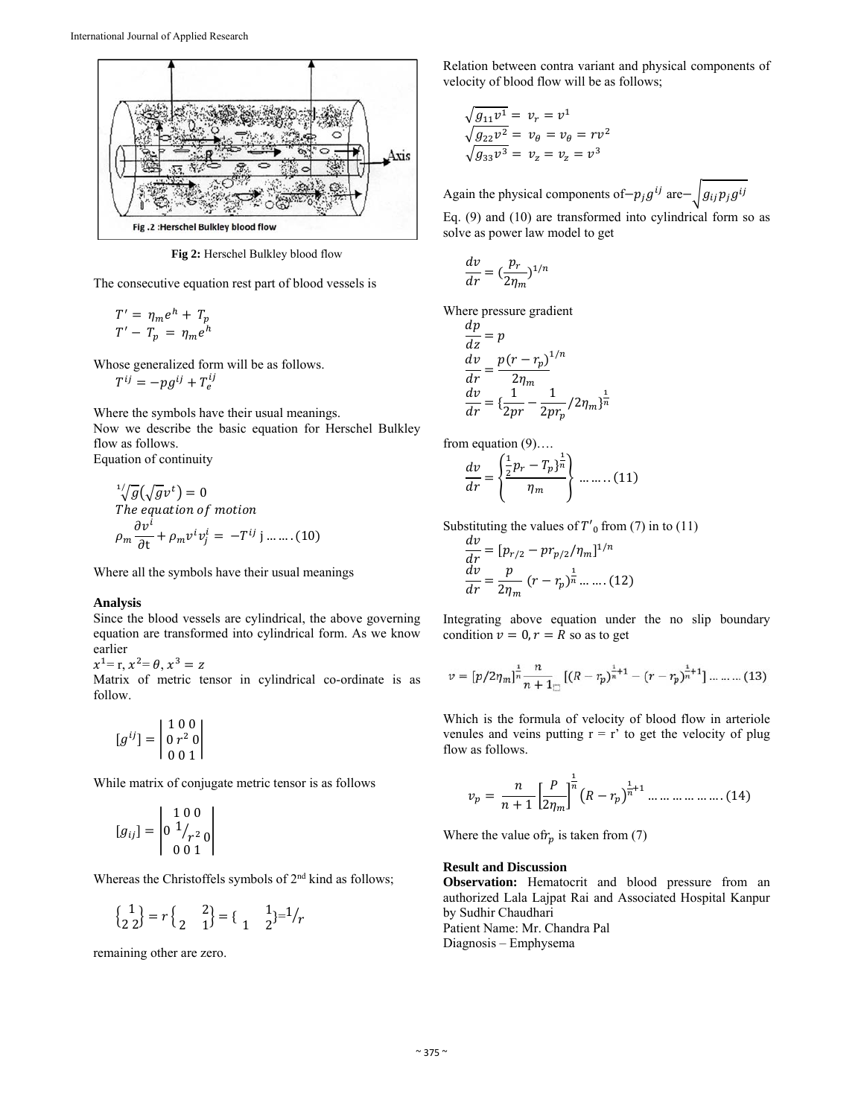

**Fig 2:** Herschel Bulkley blood flow

The consecutive equation rest part of blood vessels is

$$
T' = \eta_m e^h + T_p
$$
  

$$
T' - T_p = \eta_m e^h
$$

Whose generalized form will be as follows.

$$
T^{ij} = -pg^{ij} + T_e^{ij}
$$

Where the symbols have their usual meanings. Now we describe the basic equation for Herschel Bulkley flow as follows. Equation of continuity

$$
\sqrt[1]{g}(\sqrt{g}v^t) = 0
$$
  
The equation of motion  

$$
\rho_m \frac{\partial v^i}{\partial t} + \rho_m v^i v^i_j = -T^{ij} \text{ j} \dots \dots (10)
$$

Where all the symbols have their usual meanings

# **Analysis**

Since the blood vessels are cylindrical, the above governing equation are transformed into cylindrical form. As we know earlier

 $x^1 = r, x^2 = \theta, x^3 = z$ 

Matrix of metric tensor in cylindrical co-ordinate is as follow.

$$
[g^{ij}] = \begin{bmatrix} 1 & 0 & 0 \\ 0 & r^2 & 0 \\ 0 & 0 & 1 \end{bmatrix}
$$

While matrix of conjugate metric tensor is as follows

$$
[g_{ij}] = \begin{vmatrix} 1 & 0 & 0 \\ 0 & 1/2 & 0 \\ 0 & 0 & 1 \end{vmatrix}
$$

Whereas the Christoffels symbols of  $2<sup>nd</sup>$  kind as follows;

$$
\begin{pmatrix} 1 \\ 2 \ 2 \end{pmatrix} = r \begin{pmatrix} 2 \\ 2 \ 1 \end{pmatrix} = \begin{pmatrix} 1 \\ 1 \ 2 \end{pmatrix} = \begin{pmatrix} 1 \\ 2 \end{pmatrix} = \frac{1}{r}
$$

remaining other are zero.

Relation between contra variant and physical components of velocity of blood flow will be as follows;

$$
\sqrt{g_{11}v^1} = v_r = v^1
$$
  

$$
\sqrt{g_{22}v^2} = v_\theta = v_\theta = rv^2
$$
  

$$
\sqrt{g_{33}v^3} = v_z = v_z = v^3
$$

Again the physical components of $-p_j g^{ij}$  are $-\sqrt{g_{ij} p_j g^{ij}}$ 

Eq. (9) and (10) are transformed into cylindrical form so as solve as power law model to get

$$
\frac{dv}{dr}=(\frac{p_r}{2\eta_m})^{1/n}
$$

Where pressure gradient

$$
\frac{dp}{dz} = p
$$
\n
$$
\frac{dv}{dr} = \frac{p(r - r_p)^{1/n}}{2\eta_m}
$$
\n
$$
\frac{dv}{dr} = \left(\frac{1}{2pr} - \frac{1}{2pr_p}/2\eta_m\right)^{\frac{1}{n}}
$$

from equation (9)….

مدا

$$
\frac{dv}{dr} = \left\{ \frac{\frac{1}{2}p_r - T_p\right\}^{\frac{1}{n}}}{\eta_m} \right\} \dots \dots \dots (11)
$$

Substituting the values of  $T'_{0}$  from (7) in to (11)

$$
\frac{dv}{dr} = [p_{r/2} - pr_{p/2}/\eta_m]^{1/n}
$$

$$
\frac{dv}{dr} = \frac{p}{2\eta_m} (r - r_p)^{\frac{1}{n}} \dots \dots (12)
$$

Integrating above equation under the no slip boundary condition  $v = 0, r = R$  so as to get

$$
v = [p/2\eta_m]_n^{\frac{1}{n}} \frac{n}{n+1} [(R-r_p)_n^{\frac{1}{n}+1} - (r-r_p)_n^{\frac{1}{n}+1}] \dots \dots \dots (13)
$$

Which is the formula of velocity of blood flow in arteriole venules and veins putting  $r = r'$  to get the velocity of plug flow as follows.

$$
v_p = \frac{n}{n+1} \left[ \frac{P}{2\eta_m} \right]^{\frac{1}{n}} \left( R - r_p \right)^{\frac{1}{n}+1} \dots \dots \dots \dots \dots \dots \dots \dots \dots \dots \tag{14}
$$

Where the value of  $r_p$  is taken from (7)

# **Result and Discussion**

**Observation:** Hematocrit and blood pressure from an authorized Lala Lajpat Rai and Associated Hospital Kanpur by Sudhir Chaudhari Patient Name: Mr. Chandra Pal Diagnosis – Emphysema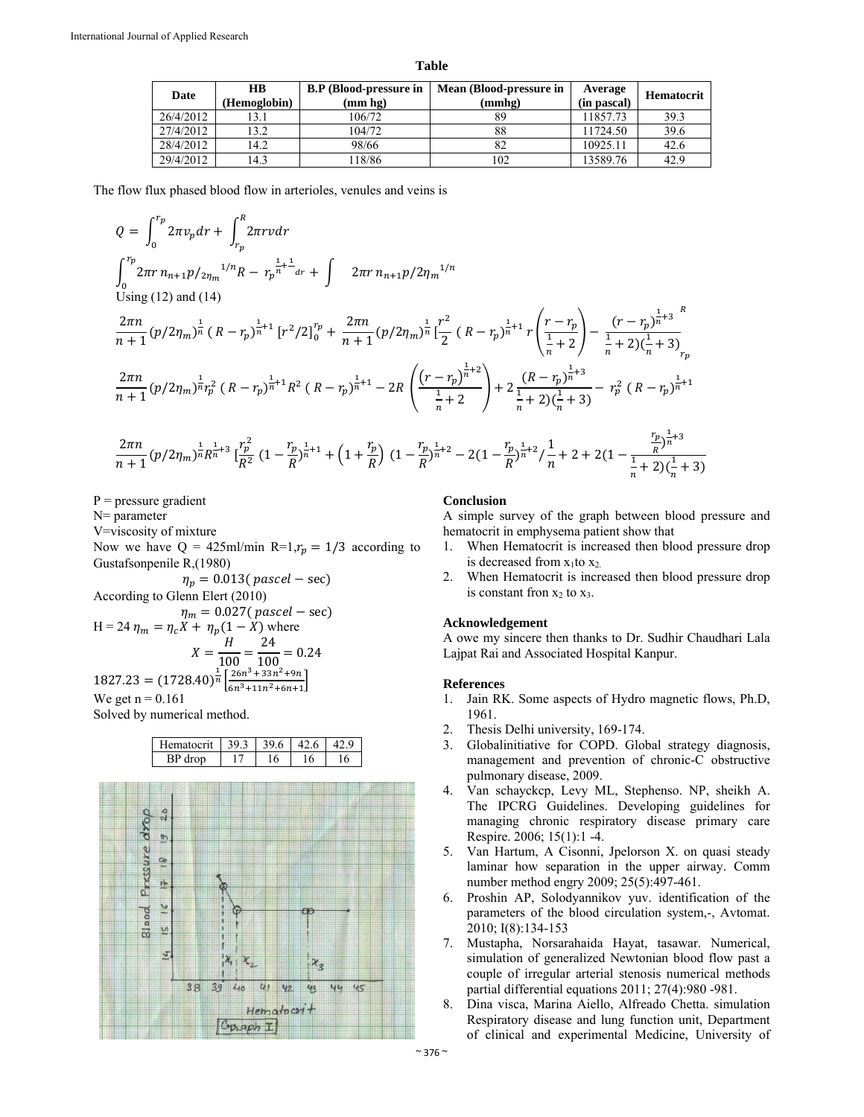**Table** 

| Date      | <b>HB</b><br>(Hemoglobin) | <b>B.P</b> (Blood-pressure in<br>(mm hg) | Mean (Blood-pressure in<br>(mmhg) | Average<br>(in pascal) | Hematocrit |
|-----------|---------------------------|------------------------------------------|-----------------------------------|------------------------|------------|
| 26/4/2012 | 13.1                      | 106/72                                   | 89                                | 11857.73               | 39.3       |
| 27/4/2012 | 13.2                      | 104/72                                   | 88                                | 11724.50               | 39.6       |
| 28/4/2012 | 14.2                      | 98/66                                    |                                   | 10925.11               | 42.6       |
| 29/4/2012 | 14.3                      | 18/86                                    | 102                               | 13589.76               | 42.9       |

The flow flux phased blood flow in arterioles, venules and veins is

$$
Q = \int_{0}^{r_p} 2\pi r \, n_{n+1} p /_{2\eta_m} \int_{r_p}^{R} 2\pi r \, v \, dr
$$
\n
$$
\int_{0}^{r_p} 2\pi r \, n_{n+1} p /_{2\eta_m} \int_{0}^{1/n} R - r_p \frac{1}{n+1} \int_{0}^{1} 2\pi r \, n_{n+1} p /_{2\eta_m} \int_{0}^{1/n} 2\pi r \, n_{n+1} p /_{2\eta_m} \int_{0}^{1/n} 2\pi r \, n_{n+1} p /_{2\eta_m} \int_{0}^{1/n} 2\pi r \, n_{n+1} p /_{2\eta_m} \int_{0}^{1/n} 2\pi r \, n_{n+1} p /_{2\eta_m} \int_{0}^{1/n} 2\pi r \, n_{n+1} \int_{0}^{1/n} 2\pi r \, n_{n+1} \int_{0}^{1/n} 2\pi r \, n_{n+1} \int_{0}^{1/n} 2\pi r \, n_{n+1} \int_{0}^{1/n} 2\pi r \, n_{n+1} \int_{0}^{1/n} 2\pi r \, n_{n+1} \int_{0}^{1/n} 2R \left( R - r_p \right)^{\frac{1}{n} + 1} - 2R \left( \frac{(r - r_p)^{\frac{1}{n} + 2}}{\frac{1}{n} + 2} \right) + 2 \frac{(R - r_p)^{\frac{1}{n} + 3}}{\frac{1}{n} + 2 \int_{0}^{1/n} 2\pi r \, n_{n+1} \int_{0}^{1/n} 2\pi r \, n_{n+1} \int_{0}^{1/n} 2\pi r \, n_{n+1} \int_{0}^{1/n} 2\pi r \, n_{n+1} \int_{0}^{1/n} 2\pi r \, n_{n+1} \int_{0}^{1/n} 2\pi r \, n_{n+1} \int_{0}^{1/n} 2\pi r \, n_{n+1} \int_{0}^{1/n} 2\pi r \, n_{n+1} \int_{0}^{1/n} 2\pi r \, n_{n+1} \int_{0}^{1/n} 2\pi r \, n_{n+1} \int_{0}^{1/n} 2\pi r \, n_{n+1} \int_{0}^{1/n} 2\pi r \, n_{
$$

$$
\frac{2\pi n}{n+1}(p/2\eta_m)^{\frac{1}{n}}R^{\frac{1}{n}+3}\left[\frac{r_p^2}{R^2}\left(1-\frac{r_p}{R}\right)^{\frac{1}{n}+1}+\left(1+\frac{r_p}{R}\right)(1-\frac{r_p}{R})^{\frac{1}{n}+2}-2\left(1-\frac{r_p}{R}\right)^{\frac{1}{n}+2}/\frac{1}{n}+2+2\left(1-\frac{\frac{r_p}{R}\right)^{\frac{1}{n}+3}}{\frac{1}{n}+2\left(\frac{1}{n}+3\right)}
$$

 $P = pressure$  gradient

N= parameter

V=viscosity of mixture

Now we have  $Q = 425$ ml/min R=1, $r_p = 1/3$  according to Gustafsonpenile R,(1980)

 $\eta_p = 0.013( \text{ pascal} - \text{sec})$ 

According to Glenn Elert (2010)  
\n
$$
\eta_m = 0.027 \text{ (pascal – sec)}
$$
\nH = 24  $\eta_m = \eta_c X + \eta_p (1 - X)$  where  
\n
$$
X = \frac{H}{100} = \frac{24}{100} = 0.24
$$
\n1827.23 = (1728.40) <sup>$\frac{1}{n}$</sup>   $\left[ \frac{26n^3 + 33n^2 + 9n}{6n^3 + 11n^2 + 6n + 1} \right]$   
\nWe get n = 0.161

Solved by numerical method.



# **Conclusion**

A simple survey of the graph between blood pressure and hematocrit in emphysema patient show that

- 1. When Hematocrit is increased then blood pressure drop is decreased from  $x_1$ to  $x_2$ .
- 2. When Hematocrit is increased then blood pressure drop is constant fron  $x_2$  to  $x_3$ .

# **Acknowledgement**

A owe my sincere then thanks to Dr. Sudhir Chaudhari Lala Lajpat Rai and Associated Hospital Kanpur.

#### **References**

- 1. Jain RK. Some aspects of Hydro magnetic flows, Ph.D, 1961.
- 2. Thesis Delhi university, 169-174.
- 3. Globalinitiative for COPD. Global strategy diagnosis, management and prevention of chronic-C obstructive pulmonary disease, 2009.
- 4. Van schayckcp, Levy ML, Stephenso. NP, sheikh A. The IPCRG Guidelines. Developing guidelines for managing chronic respiratory disease primary care Respire. 2006; 15(1):1 -4.
- 5. Van Hartum, A Cisonni, Jpelorson X. on quasi steady laminar how separation in the upper airway. Comm number method engry 2009; 25(5):497-461.
- 6. Proshin AP, Solodyannikov yuv. identification of the parameters of the blood circulation system,-, Avtomat. 2010; I(8):134-153
- 7. Mustapha, Norsarahaida Hayat, tasawar. Numerical, simulation of generalized Newtonian blood flow past a couple of irregular arterial stenosis numerical methods partial differential equations 2011; 27(4):980 -981.
- 8. Dina visca, Marina Aiello, Alfreado Chetta. simulation Respiratory disease and lung function unit, Department of clinical and experimental Medicine, University of